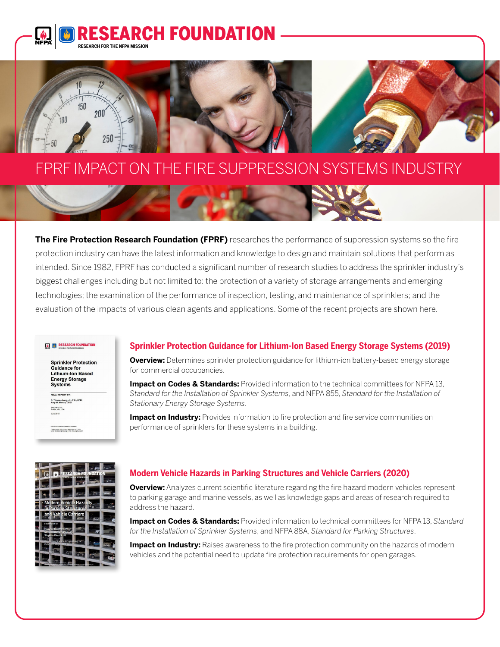



# FPRF IMPACT ON THE FIRE SUPPRESSION SYSTEMS INDUSTRY



**The Fire Protection Research Foundation (FPRF)** researches the performance of suppression systems so the fire protection industry can have the latest information and knowledge to design and maintain solutions that perform as intended. Since 1982, FPRF has conducted a significant number of research studies to address the sprinkler industry's biggest challenges including but not limited to: the protection of a variety of storage arrangements and emerging technologies; the examination of the performance of inspection, testing, and maintenance of sprinklers; and the evaluation of the impacts of various clean agents and applications. Some of the recent projects are shown here.

#### **ED** RESEARCH FOUN

**Sprinkler Protection** Guidance for Guidance for<br>Lithium-Ion Based **Energy Storage Systems** 

R. Thomas Long, Jr., P.E., CFEI<br>Amy M. Misera, CFEI Exponent, Inc.<br>Bowie, MD, USA

FINAL REPORT

o 2219 i ve irrotection research i ounceton<br>1 Earterymarch Park, Quincy, MA 02165-7417, USA<br>Email: Nondebord(Infos.org | Web: riba.org/inund

## **Sprinkler Protection Guidance for Lithium-Ion Based Energy Storage Systems (2019)**

**Overview:** Determines sprinkler protection guidance for lithium-ion battery-based energy storage for commercial occupancies.

**Impact on Codes & Standards:** Provided information to the technical committees for NFPA 13, *Standard for the Installation of Sprinkler Systems*, and NFPA 855, *Standard for the Installation of Stationary Energy Storage Systems*.

**Impact on Industry:** Provides information to fire protection and fire service communities on performance of sprinklers for these systems in a building.



## **Modern Vehicle Hazards in Parking Structures and Vehicle Carriers (2020)**

**Overview:** Analyzes current scientific literature regarding the fire hazard modern vehicles represent to parking garage and marine vessels, as well as knowledge gaps and areas of research required to address the hazard.

**Impact on Codes & Standards:** Provided information to technical committees for NFPA 13, *Standard for the Installation of Sprinkler Systems*, and NFPA 88A, *Standard for Parking Structures*.

**Impact on Industry:** Raises awareness to the fire protection community on the hazards of modern vehicles and the potential need to update fire protection requirements for open garages.